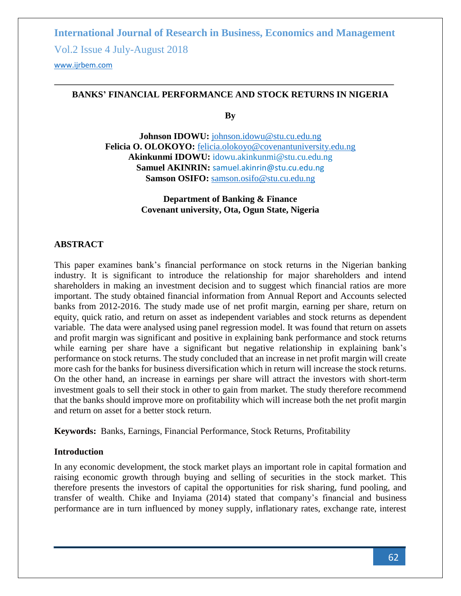Vol.2 Issue 4 July-August 2018

<www.ijrbem.com>

### **BANKS' FINANCIAL PERFORMANCE AND STOCK RETURNS IN NIGERIA**

**By**

**Johnson IDOWU:** [johnson.idowu@stu.cu.edu.ng](mailto:johnson.idowu@stu.cu.edu.ng) **Felicia O. OLOKOYO:** [felicia.olokoyo@covenantuniversity.edu.ng](mailto:felicia.olokoyo@covenantuniversity.edu.ng) **Akinkunmi IDOWU:** [idowu.akinkunmi@stu.cu.edu.ng](mailto:idowu.akinkunmi@stu.cu.edu.ng) **Samuel AKINRIN:** [samuel.akinrin@stu.cu.edu.ng](mailto:samuel.akinrin@stu.cu.edu.ng) **Samson OSIFO:** [samson.osifo@stu.cu.edu.ng](mailto:samson.osifo@stu.cu.edu.ng)

> **Department of Banking & Finance Covenant university, Ota, Ogun State, Nigeria**

### **ABSTRACT**

This paper examines bank's financial performance on stock returns in the Nigerian banking industry. It is significant to introduce the relationship for major shareholders and intend shareholders in making an investment decision and to suggest which financial ratios are more important. The study obtained financial information from Annual Report and Accounts selected banks from 2012-2016. The study made use of net profit margin, earning per share, return on equity, quick ratio, and return on asset as independent variables and stock returns as dependent variable. The data were analysed using panel regression model. It was found that return on assets and profit margin was significant and positive in explaining bank performance and stock returns while earning per share have a significant but negative relationship in explaining bank's performance on stock returns. The study concluded that an increase in net profit margin will create more cash for the banks for business diversification which in return will increase the stock returns. On the other hand, an increase in earnings per share will attract the investors with short-term investment goals to sell their stock in other to gain from market. The study therefore recommend that the banks should improve more on profitability which will increase both the net profit margin and return on asset for a better stock return.

**Keywords:** Banks, Earnings, Financial Performance, Stock Returns, Profitability

#### **Introduction**

In any economic development, the stock market plays an important role in capital formation and raising economic growth through buying and selling of securities in the stock market. This therefore presents the investors of capital the opportunities for risk sharing, fund pooling, and transfer of wealth. Chike and Inyiama (2014) stated that company's financial and business performance are in turn influenced by money supply, inflationary rates, exchange rate, interest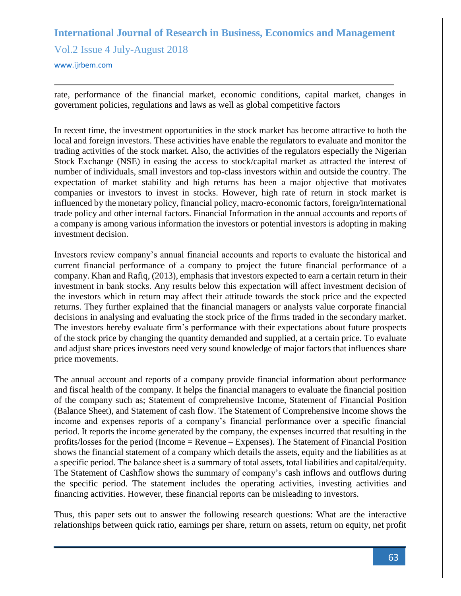Vol.2 Issue 4 July-August 2018

<www.ijrbem.com>

rate, performance of the financial market, economic conditions, capital market, changes in government policies, regulations and laws as well as global competitive factors

In recent time, the investment opportunities in the stock market has become attractive to both the local and foreign investors. These activities have enable the regulators to evaluate and monitor the trading activities of the stock market. Also, the activities of the regulators especially the Nigerian Stock Exchange (NSE) in easing the access to stock/capital market as attracted the interest of number of individuals, small investors and top-class investors within and outside the country. The expectation of market stability and high returns has been a major objective that motivates companies or investors to invest in stocks. However, high rate of return in stock market is influenced by the monetary policy, financial policy, macro-economic factors, foreign/international trade policy and other internal factors. Financial Information in the annual accounts and reports of a company is among various information the investors or potential investors is adopting in making investment decision.

Investors review company's annual financial accounts and reports to evaluate the historical and current financial performance of a company to project the future financial performance of a company. Khan and Rafiq, (2013), emphasis that investors expected to earn a certain return in their investment in bank stocks. Any results below this expectation will affect investment decision of the investors which in return may affect their attitude towards the stock price and the expected returns. They further explained that the financial managers or analysts value corporate financial decisions in analysing and evaluating the stock price of the firms traded in the secondary market. The investors hereby evaluate firm's performance with their expectations about future prospects of the stock price by changing the quantity demanded and supplied, at a certain price. To evaluate and adjust share prices investors need very sound knowledge of major factors that influences share price movements.

The annual account and reports of a company provide financial information about performance and fiscal health of the company. It helps the financial managers to evaluate the financial position of the company such as; Statement of comprehensive Income, Statement of Financial Position (Balance Sheet), and Statement of cash flow. The Statement of Comprehensive Income shows the income and expenses reports of a company's financial performance over a specific financial period. It reports the income generated by the company, the expenses incurred that resulting in the profits/losses for the period (Income = Revenue – Expenses). The Statement of Financial Position shows the financial statement of a company which details the assets, equity and the liabilities as at a specific period. The balance sheet is a summary of total assets, total liabilities and capital/equity. The Statement of Cashflow shows the summary of company's cash inflows and outflows during the specific period. The statement includes the operating activities, investing activities and financing activities. However, these financial reports can be misleading to investors.

Thus, this paper sets out to answer the following research questions: What are the interactive relationships between quick ratio, earnings per share, return on assets, return on equity, net profit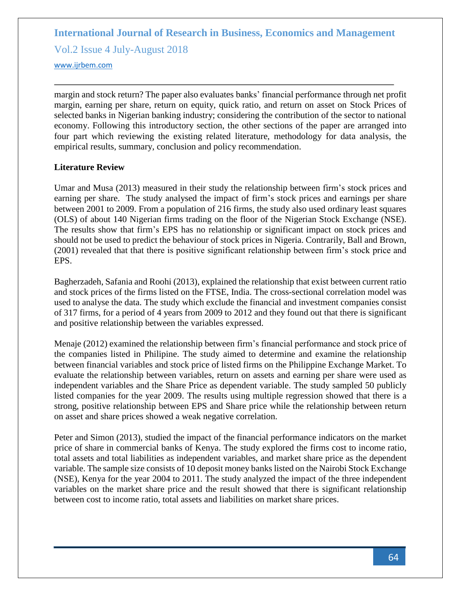Vol.2 Issue 4 July-August 2018

<www.ijrbem.com>

margin and stock return? The paper also evaluates banks' financial performance through net profit margin, earning per share, return on equity, quick ratio, and return on asset on Stock Prices of selected banks in Nigerian banking industry; considering the contribution of the sector to national economy. Following this introductory section, the other sections of the paper are arranged into four part which reviewing the existing related literature, methodology for data analysis, the empirical results, summary, conclusion and policy recommendation.

### **Literature Review**

Umar and Musa (2013) measured in their study the relationship between firm's stock prices and earning per share. The study analysed the impact of firm's stock prices and earnings per share between 2001 to 2009. From a population of 216 firms, the study also used ordinary least squares (OLS) of about 140 Nigerian firms trading on the floor of the Nigerian Stock Exchange (NSE). The results show that firm's EPS has no relationship or significant impact on stock prices and should not be used to predict the behaviour of stock prices in Nigeria. Contrarily, Ball and Brown, (2001) revealed that that there is positive significant relationship between firm's stock price and EPS.

Bagherzadeh, Safania and Roohi (2013), explained the relationship that exist between current ratio and stock prices of the firms listed on the FTSE, India. The cross-sectional correlation model was used to analyse the data. The study which exclude the financial and investment companies consist of 317 firms, for a period of 4 years from 2009 to 2012 and they found out that there is significant and positive relationship between the variables expressed.

Menaje (2012) examined the relationship between firm's financial performance and stock price of the companies listed in Philipine. The study aimed to determine and examine the relationship between financial variables and stock price of listed firms on the Philippine Exchange Market. To evaluate the relationship between variables, return on assets and earning per share were used as independent variables and the Share Price as dependent variable. The study sampled 50 publicly listed companies for the year 2009. The results using multiple regression showed that there is a strong, positive relationship between EPS and Share price while the relationship between return on asset and share prices showed a weak negative correlation.

Peter and Simon (2013), studied the impact of the financial performance indicators on the market price of share in commercial banks of Kenya. The study explored the firms cost to income ratio, total assets and total liabilities as independent variables, and market share price as the dependent variable. The sample size consists of 10 deposit money banks listed on the Nairobi Stock Exchange (NSE), Kenya for the year 2004 to 2011. The study analyzed the impact of the three independent variables on the market share price and the result showed that there is significant relationship between cost to income ratio, total assets and liabilities on market share prices.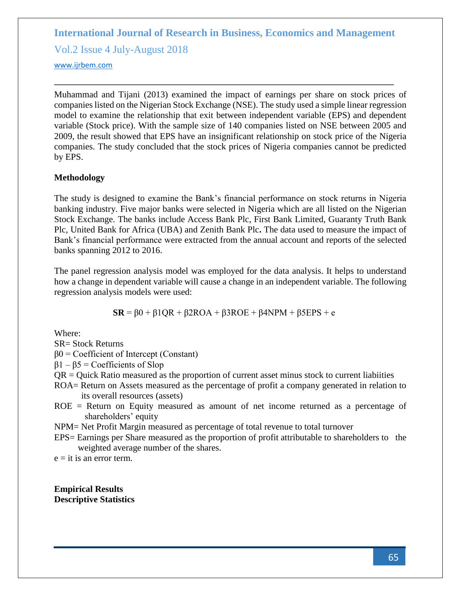Vol.2 Issue 4 July-August 2018

<www.ijrbem.com>

Muhammad and Tijani (2013) examined the impact of earnings per share on stock prices of companies listed on the Nigerian Stock Exchange (NSE). The study used a simple linear regression model to examine the relationship that exit between independent variable (EPS) and dependent variable (Stock price). With the sample size of 140 companies listed on NSE between 2005 and 2009, the result showed that EPS have an insignificant relationship on stock price of the Nigeria companies. The study concluded that the stock prices of Nigeria companies cannot be predicted by EPS.

### **Methodology**

The study is designed to examine the Bank's financial performance on stock returns in Nigeria banking industry. Five major banks were selected in Nigeria which are all listed on the Nigerian Stock Exchange. The banks include Access Bank Plc, First Bank Limited, Guaranty Truth Bank Plc, United Bank for Africa (UBA) and Zenith Bank Plc**.** The data used to measure the impact of Bank's financial performance were extracted from the annual account and reports of the selected banks spanning 2012 to 2016.

The panel regression analysis model was employed for the data analysis. It helps to understand how a change in dependent variable will cause a change in an independent variable. The following regression analysis models were used:

 $\mathbf{SR} = \beta 0 + \beta 1 \mathbf{QR} + \beta 2 \mathbf{ROA} + \beta 3 \mathbf{ROE} + \beta 4 \mathbf{NPM} + \beta 5 \mathbf{EPS} + \mathbf{e}$ 

Where:

SR= Stock Returns

 $β0 = Coefficient of Intercept (Constant)$ 

 $β1 – β5 = Coefficients of Slop$ 

- QR = Quick Ratio measured as the proportion of current asset minus stock to current liabiities
- ROA= Return on Assets measured as the percentage of profit a company generated in relation to its overall resources (assets)
- ROE = Return on Equity measured as amount of net income returned as a percentage of shareholders' equity

NPM= Net Profit Margin measured as percentage of total revenue to total turnover

EPS= Earnings per Share measured as the proportion of profit attributable to shareholders to the weighted average number of the shares.

 $e = it$  is an error term.

**Empirical Results Descriptive Statistics**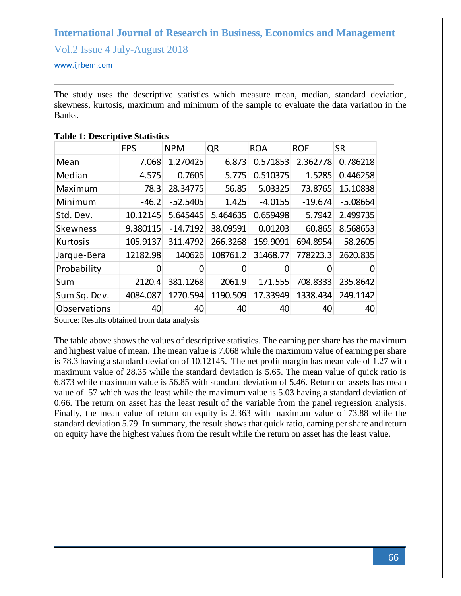Vol.2 Issue 4 July-August 2018

<www.ijrbem.com>

The study uses the descriptive statistics which measure mean, median, standard deviation, skewness, kurtosis, maximum and minimum of the sample to evaluate the data variation in the Banks.

|                 | <b>EPS</b> | <b>NPM</b> | QR       | <b>ROA</b> | <b>ROE</b> | <b>SR</b>  |
|-----------------|------------|------------|----------|------------|------------|------------|
| Mean            | 7.068      | 1.270425   | 6.873    | 0.571853   | 2.362778   | 0.786218   |
| Median          | 4.575      | 0.7605     | 5.775    | 0.510375   | 1.5285     | 0.446258   |
| Maximum         | 78.3       | 28.34775   | 56.85    | 5.03325    | 73.8765    | 15.10838   |
| Minimum         | $-46.2$    | $-52.5405$ | 1.425    | $-4.0155$  | $-19.674$  | $-5.08664$ |
| Std. Dev.       | 10.12145   | 5.645445   | 5.464635 | 0.659498   | 5.7942     | 2.499735   |
| <b>Skewness</b> | 9.380115   | $-14.7192$ | 38.09591 | 0.01203    | 60.865     | 8.568653   |
| Kurtosis        | 105.9137   | 311.4792   | 266.3268 | 159.9091   | 694.8954   | 58.2605    |
| Jarque-Bera     | 12182.98   | 140626     | 108761.2 | 31468.77   | 778223.3   | 2620.835   |
| Probability     | 0          | 0          |          | Ő          | O          | $\Omega$   |
| Sum             | 2120.4     | 381.1268   | 2061.9   | 171.555    | 708.8333   | 235.8642   |
| Sum Sq. Dev.    | 4084.087   | 1270.594   | 1190.509 | 17.33949   | 1338.434   | 249.1142   |
| Observations    | 40         | 40         | 40       | 40         | 40         | 40         |

#### **Table 1: Descriptive Statistics**

Source: Results obtained from data analysis

The table above shows the values of descriptive statistics. The earning per share has the maximum and highest value of mean. The mean value is 7.068 while the maximum value of earning per share is 78.3 having a standard deviation of 10.12145. The net profit margin has mean vale of 1.27 with maximum value of 28.35 while the standard deviation is 5.65. The mean value of quick ratio is 6.873 while maximum value is 56.85 with standard deviation of 5.46. Return on assets has mean value of .57 which was the least while the maximum value is 5.03 having a standard deviation of 0.66. The return on asset has the least result of the variable from the panel regression analysis. Finally, the mean value of return on equity is 2.363 with maximum value of 73.88 while the standard deviation 5.79. In summary, the result shows that quick ratio, earning per share and return on equity have the highest values from the result while the return on asset has the least value.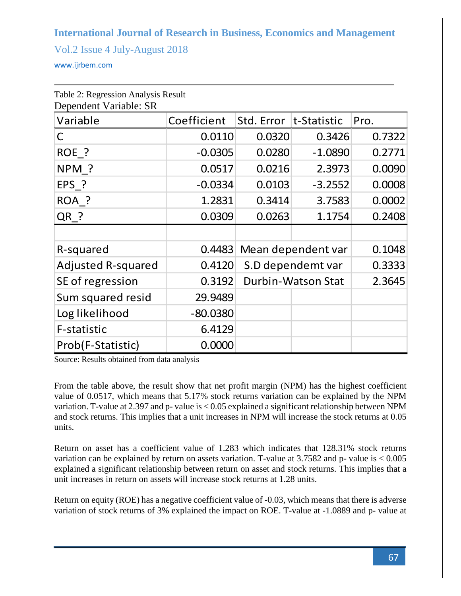Vol.2 Issue 4 July-August 2018

<www.ijrbem.com>

| Dependent Variable: SR    |             |                    |             |        |  |  |  |  |  |
|---------------------------|-------------|--------------------|-------------|--------|--|--|--|--|--|
| Variable                  | Coefficient | Std. Error         | t-Statistic | Pro.   |  |  |  |  |  |
| $\mathsf{C}$              | 0.0110      | 0.0320             | 0.3426      | 0.7322 |  |  |  |  |  |
| ROE <sub>-?</sub>         | $-0.0305$   | 0.0280             | $-1.0890$   | 0.2771 |  |  |  |  |  |
| NPM ?                     | 0.0517      | 0.0216             | 2.3973      | 0.0090 |  |  |  |  |  |
| EPS ?                     | $-0.0334$   | 0.0103             | $-3.2552$   | 0.0008 |  |  |  |  |  |
| ROA ?                     | 1.2831      | 0.3414             | 3.7583      | 0.0002 |  |  |  |  |  |
| QR ?                      | 0.0309      | 0.0263             | 1.1754      | 0.2408 |  |  |  |  |  |
|                           |             |                    |             |        |  |  |  |  |  |
| R-squared                 | 0.4483      | Mean dependent var |             | 0.1048 |  |  |  |  |  |
| <b>Adjusted R-squared</b> | 0.4120      | S.D dependemt var  |             | 0.3333 |  |  |  |  |  |
| SE of regression          | 0.3192      | Durbin-Watson Stat |             | 2.3645 |  |  |  |  |  |
| Sum squared resid         | 29.9489     |                    |             |        |  |  |  |  |  |
| Log likelihood            | $-80.0380$  |                    |             |        |  |  |  |  |  |
| F-statistic               | 6.4129      |                    |             |        |  |  |  |  |  |
| Prob(F-Statistic)         | 0.0000      |                    |             |        |  |  |  |  |  |

Table 2: Regression Analysis Result

Source: Results obtained from data analysis

From the table above, the result show that net profit margin (NPM) has the highest coefficient value of 0.0517, which means that 5.17% stock returns variation can be explained by the NPM variation. T-value at 2.397 and p- value is < 0.05 explained a significant relationship between NPM and stock returns. This implies that a unit increases in NPM will increase the stock returns at 0.05 units.

Return on asset has a coefficient value of 1.283 which indicates that 128.31% stock returns variation can be explained by return on assets variation. T-value at  $3.7582$  and p- value is  $< 0.005$ explained a significant relationship between return on asset and stock returns. This implies that a unit increases in return on assets will increase stock returns at 1.28 units.

Return on equity (ROE) has a negative coefficient value of -0.03, which means that there is adverse variation of stock returns of 3% explained the impact on ROE. T-value at -1.0889 and p- value at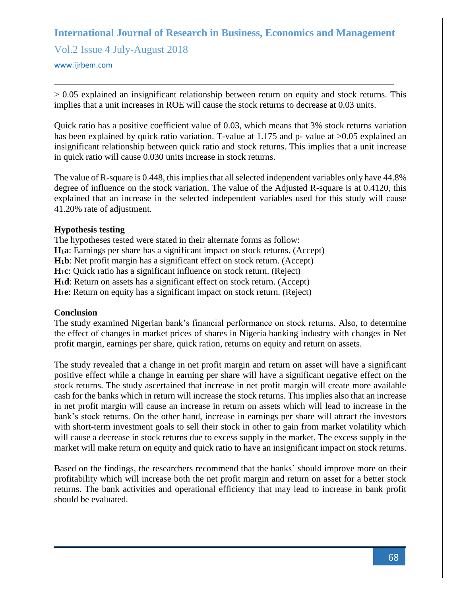Vol.2 Issue 4 July-August 2018

<www.ijrbem.com>

> 0.05 explained an insignificant relationship between return on equity and stock returns. This implies that a unit increases in ROE will cause the stock returns to decrease at 0.03 units.

Quick ratio has a positive coefficient value of 0.03, which means that 3% stock returns variation has been explained by quick ratio variation. T-value at 1.175 and p- value at  $>0.05$  explained an insignificant relationship between quick ratio and stock returns. This implies that a unit increase in quick ratio will cause 0.030 units increase in stock returns.

The value of R-square is 0.448, this implies that all selected independent variables only have 44.8% degree of influence on the stock variation. The value of the Adjusted R-square is at 0.4120, this explained that an increase in the selected independent variables used for this study will cause 41.20% rate of adjustment.

### **Hypothesis testing**

The hypotheses tested were stated in their alternate forms as follow: **H1a**: Earnings per share has a significant impact on stock returns. (Accept) **H1b**: Net profit margin has a significant effect on stock return. (Accept) **H1c**: Quick ratio has a significant influence on stock return. (Reject) **H1d**: Return on assets has a significant effect on stock return. (Accept) **H1e**: Return on equity has a significant impact on stock return. (Reject)

### **Conclusion**

The study examined Nigerian bank's financial performance on stock returns. Also, to determine the effect of changes in market prices of shares in Nigeria banking industry with changes in Net profit margin, earnings per share, quick ration, returns on equity and return on assets.

The study revealed that a change in net profit margin and return on asset will have a significant positive effect while a change in earning per share will have a significant negative effect on the stock returns. The study ascertained that increase in net profit margin will create more available cash for the banks which in return will increase the stock returns. This implies also that an increase in net profit margin will cause an increase in return on assets which will lead to increase in the bank's stock returns. On the other hand, increase in earnings per share will attract the investors with short-term investment goals to sell their stock in other to gain from market volatility which will cause a decrease in stock returns due to excess supply in the market. The excess supply in the market will make return on equity and quick ratio to have an insignificant impact on stock returns.

Based on the findings, the researchers recommend that the banks' should improve more on their profitability which will increase both the net profit margin and return on asset for a better stock returns. The bank activities and operational efficiency that may lead to increase in bank profit should be evaluated.